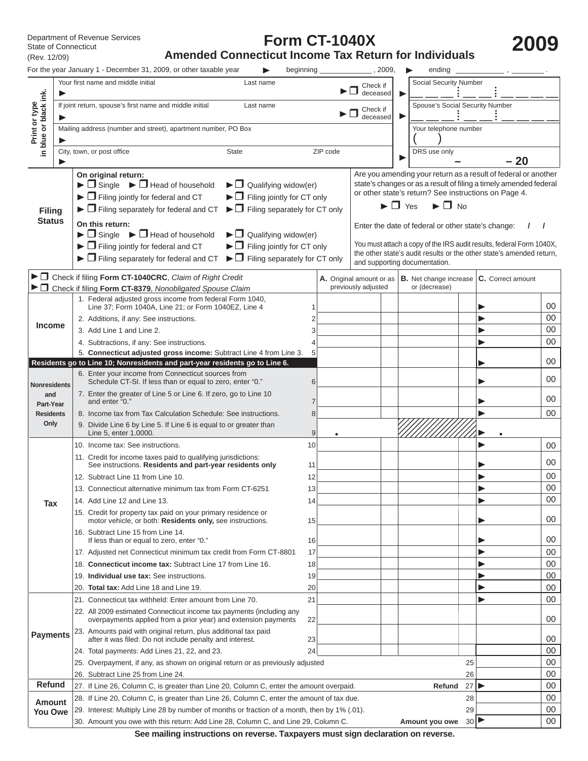State of Connecticut (Rev. 12/09)

# **Form CT-1040X**

Department of Revenue Services<br>
State of Connecticut<br>
(Rev. 12/09) **Amended Connecticut Income Tax Return for Individuals** 

|                                        | For the year January 1 - December 31, 2009, or other taxable year                                                                                       | beginning |                                                                                                                                     | 2009,                                              |                                  | ending                          |                                |                                                                      |          |  |  |
|----------------------------------------|---------------------------------------------------------------------------------------------------------------------------------------------------------|-----------|-------------------------------------------------------------------------------------------------------------------------------------|----------------------------------------------------|----------------------------------|---------------------------------|--------------------------------|----------------------------------------------------------------------|----------|--|--|
|                                        | Your first name and middle initial<br>Last name                                                                                                         |           |                                                                                                                                     | Check if<br>deceased                               | ▶                                | Social Security Number          |                                |                                                                      |          |  |  |
| Print or type<br>in blue or black ink. | If joint return, spouse's first name and middle initial<br>Last name                                                                                    |           |                                                                                                                                     | Check if<br>deceased                               |                                  | Spouse's Social Security Number |                                |                                                                      |          |  |  |
|                                        | Mailing address (number and street), apartment number, PO Box                                                                                           |           |                                                                                                                                     |                                                    |                                  | Your telephone number           |                                |                                                                      |          |  |  |
|                                        |                                                                                                                                                         |           |                                                                                                                                     |                                                    |                                  |                                 |                                |                                                                      |          |  |  |
|                                        | City, town, or post office<br><b>State</b>                                                                                                              |           | ZIP code                                                                                                                            |                                                    |                                  | DRS use only                    |                                |                                                                      |          |  |  |
|                                        |                                                                                                                                                         |           |                                                                                                                                     |                                                    |                                  |                                 |                                | $-20$                                                                |          |  |  |
|                                        | On original return:<br>$\blacktriangleright$ $\Box$ Single $\blacktriangleright$ $\Box$ Head of household<br>$\blacktriangleright$ Qualifying widow(er) |           | Are you amending your return as a result of federal or another<br>state's changes or as a result of filing a timely amended federal |                                                    |                                  |                                 |                                |                                                                      |          |  |  |
|                                        | $\blacktriangleright$ $\Box$ Filing jointly for federal and CT<br>$\blacktriangleright$ $\Box$ Filing jointly for CT only                               |           |                                                                                                                                     |                                                    |                                  |                                 |                                | or other state's return? See instructions on Page 4.                 |          |  |  |
| <b>Filing</b>                          | $\blacktriangleright$ $\Box$ Filing separately for CT only<br>$\blacktriangleright$ $\Box$ Filing separately for federal and CT                         |           |                                                                                                                                     |                                                    | $\blacktriangleright$ $\Box$ Yes | $\blacktriangleright$ $\Box$ No |                                |                                                                      |          |  |  |
| <b>Status</b>                          | On this return:                                                                                                                                         |           |                                                                                                                                     |                                                    |                                  |                                 |                                |                                                                      |          |  |  |
|                                        | $\blacktriangleright$ $\Box$ Single $\blacktriangleright$ $\Box$ Head of household<br>$\blacktriangleright$ $\Box$ Qualifying widow(er)                 |           |                                                                                                                                     | Enter the date of federal or other state's change: |                                  |                                 |                                |                                                                      |          |  |  |
|                                        | $\blacktriangleright$ $\Box$ Filing jointly for federal and CT<br>$\blacktriangleright$ $\Box$ Filing jointly for CT only                               |           |                                                                                                                                     |                                                    |                                  |                                 |                                | You must attach a copy of the IRS audit results, federal Form 1040X, |          |  |  |
|                                        | $\blacktriangleright$ $\Box$ Filing separately for CT only<br>$\blacktriangleright$ $\Box$ Filing separately for federal and CT                         |           |                                                                                                                                     |                                                    |                                  | and supporting documentation.   |                                | the other state's audit results or the other state's amended return, |          |  |  |
|                                        | ► O Check if filing Form CT-1040CRC, Claim of Right Credit                                                                                              |           |                                                                                                                                     |                                                    |                                  |                                 |                                |                                                                      |          |  |  |
|                                        | > O Check if filing Form CT-8379, Nonobligated Spouse Claim                                                                                             |           |                                                                                                                                     | A. Original amount or as<br>previously adjusted    |                                  | or (decrease)                   |                                | $ B.$ Net change increase $ C.$ Correct amount                       |          |  |  |
|                                        | 1. Federal adjusted gross income from federal Form 1040,                                                                                                |           |                                                                                                                                     |                                                    |                                  |                                 |                                |                                                                      |          |  |  |
|                                        | Line 37; Form 1040A, Line 21; or Form 1040EZ, Line 4                                                                                                    |           |                                                                                                                                     |                                                    |                                  |                                 |                                |                                                                      | 00<br>00 |  |  |
| <b>Income</b>                          | 2. Additions, if any: See instructions.<br>3. Add Line 1 and Line 2.                                                                                    |           |                                                                                                                                     |                                                    |                                  |                                 |                                |                                                                      | 00       |  |  |
|                                        | 4. Subtractions, if any: See instructions.                                                                                                              |           |                                                                                                                                     |                                                    |                                  |                                 |                                |                                                                      | 00       |  |  |
|                                        | 5. Connecticut adjusted gross income: Subtract Line 4 from Line 3.                                                                                      |           |                                                                                                                                     |                                                    |                                  |                                 |                                |                                                                      |          |  |  |
|                                        | Residents go to Line 10; Nonresidents and part-year residents go to Line 6.                                                                             |           |                                                                                                                                     |                                                    |                                  |                                 |                                |                                                                      | 00       |  |  |
| <b>Nonresidents</b>                    | 6. Enter your income from Connecticut sources from<br>Schedule CT-SI. If less than or equal to zero, enter "0."                                         | 6         |                                                                                                                                     |                                                    |                                  |                                 |                                |                                                                      | 00       |  |  |
| and                                    | 7. Enter the greater of Line 5 or Line 6. If zero, go to Line 10<br>and enter "0."                                                                      | 7         |                                                                                                                                     |                                                    |                                  |                                 |                                |                                                                      | 00       |  |  |
| Part-Year<br><b>Residents</b>          | 8. Income tax from Tax Calculation Schedule: See instructions.                                                                                          | 8         |                                                                                                                                     |                                                    |                                  |                                 |                                |                                                                      | 00       |  |  |
| Only                                   | 9. Divide Line 6 by Line 5. If Line 6 is equal to or greater than                                                                                       |           |                                                                                                                                     |                                                    |                                  |                                 |                                |                                                                      |          |  |  |
|                                        | Line 5, enter 1.0000.                                                                                                                                   | 9         |                                                                                                                                     |                                                    |                                  |                                 |                                |                                                                      |          |  |  |
|                                        | 10. Income tax: See instructions.<br>11. Credit for income taxes paid to qualifying jurisdictions:                                                      | 10        |                                                                                                                                     |                                                    |                                  |                                 |                                |                                                                      | 00       |  |  |
|                                        | See instructions. Residents and part-year residents only                                                                                                | 11        |                                                                                                                                     |                                                    |                                  |                                 |                                |                                                                      | 00       |  |  |
|                                        | 12. Subtract Line 11 from Line 10.                                                                                                                      | 12        |                                                                                                                                     |                                                    |                                  |                                 |                                |                                                                      | 00       |  |  |
|                                        | 13. Connecticut alternative minimum tax from Form CT-6251                                                                                               | 13        |                                                                                                                                     |                                                    |                                  |                                 |                                |                                                                      | 00       |  |  |
| <b>Tax</b>                             | 14. Add Line 12 and Line 13.                                                                                                                            | 14        |                                                                                                                                     |                                                    |                                  |                                 |                                |                                                                      | 00       |  |  |
|                                        | 15. Credit for property tax paid on your primary residence or<br>motor vehicle, or both: Residents only, see instructions.                              | 15        |                                                                                                                                     |                                                    |                                  |                                 |                                |                                                                      | 00       |  |  |
|                                        | 16. Subtract Line 15 from Line 14.<br>If less than or equal to zero, enter "0."                                                                         | 16        |                                                                                                                                     |                                                    |                                  |                                 |                                |                                                                      | 00       |  |  |
|                                        | 17. Adjusted net Connecticut minimum tax credit from Form CT-8801                                                                                       | 17        |                                                                                                                                     |                                                    |                                  |                                 |                                |                                                                      | 00       |  |  |
|                                        | 18. Connecticut income tax: Subtract Line 17 from Line 16.                                                                                              | 18        |                                                                                                                                     |                                                    |                                  |                                 |                                |                                                                      | 00       |  |  |
|                                        | 19. Individual use tax: See instructions.                                                                                                               | 19        |                                                                                                                                     |                                                    |                                  |                                 |                                |                                                                      | 00       |  |  |
|                                        | 20. Total tax: Add Line 18 and Line 19.                                                                                                                 | 20        |                                                                                                                                     |                                                    |                                  |                                 |                                |                                                                      | 00       |  |  |
|                                        | 21. Connecticut tax withheld: Enter amount from Line 70.                                                                                                | 21        |                                                                                                                                     |                                                    |                                  |                                 |                                |                                                                      | 00       |  |  |
|                                        | 22. All 2009 estimated Connecticut income tax payments (including any<br>overpayments applied from a prior year) and extension payments                 | 22        |                                                                                                                                     |                                                    |                                  |                                 |                                |                                                                      | 00       |  |  |
| <b>Payments</b>                        | 23. Amounts paid with original return, plus additional tax paid<br>after it was filed: Do not include penalty and interest.                             | 23        |                                                                                                                                     |                                                    |                                  |                                 |                                |                                                                      | 00       |  |  |
|                                        | 24. Total payments: Add Lines 21, 22, and 23.                                                                                                           | 24        |                                                                                                                                     |                                                    |                                  |                                 |                                |                                                                      | 00       |  |  |
|                                        | 25. Overpayment, if any, as shown on original return or as previously adjusted                                                                          |           |                                                                                                                                     |                                                    |                                  |                                 | 25                             |                                                                      | 00       |  |  |
| <b>Refund</b>                          | 26. Subtract Line 25 from Line 24.<br>27. If Line 26, Column C, is greater than Line 20, Column C, enter the amount overpaid.                           |           |                                                                                                                                     |                                                    |                                  | Refund                          | 26<br>27 $\blacktriangleright$ |                                                                      | 00<br>00 |  |  |
|                                        | 28. If Line 20, Column C, is greater than Line 26, Column C, enter the amount of tax due.                                                               |           |                                                                                                                                     |                                                    |                                  |                                 | 28                             |                                                                      | $00\,$   |  |  |
| <b>Amount</b><br>You Owe               | 29. Interest: Multiply Line 28 by number of months or fraction of a month, then by 1% (.01).                                                            |           |                                                                                                                                     |                                                    |                                  |                                 | 29                             |                                                                      | $00\,$   |  |  |
|                                        | 30. Amount you owe with this return: Add Line 28, Column C, and Line 29, Column C.                                                                      |           |                                                                                                                                     |                                                    |                                  | Amount you owe                  | 30P                            |                                                                      | 00       |  |  |

**See mailing instructions on reverse. Taxpayers must sign declaration on reverse.**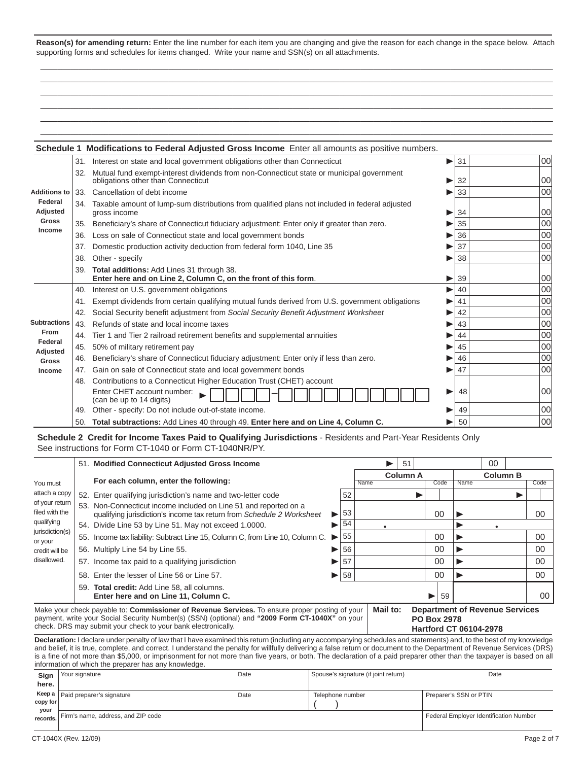**Reason(s) for amending return:** Enter the line number for each item you are changing and give the reason for each change in the space below. Attach supporting forms and schedules for items changed. Write your name and SSN(s) on all attachments.

 \_\_\_\_\_\_\_\_\_\_\_\_\_\_\_\_\_\_\_\_\_\_\_\_\_\_\_\_\_\_\_\_\_\_\_\_\_\_\_\_\_\_\_\_\_\_\_\_\_\_\_\_\_\_\_\_\_\_\_\_\_\_\_\_\_\_\_\_\_\_\_\_\_\_\_\_\_\_\_\_\_\_\_\_\_\_\_\_\_\_\_\_\_\_\_\_\_\_\_\_\_\_\_\_\_\_\_\_\_\_\_\_\_\_\_\_\_\_\_\_ \_\_\_\_\_\_\_\_\_\_\_\_\_\_\_\_\_\_\_\_\_\_\_\_\_\_\_\_\_\_\_\_\_\_\_\_\_\_\_\_\_\_\_\_\_\_\_\_\_\_\_\_\_\_\_\_\_\_\_\_\_\_\_\_\_\_\_\_\_\_\_\_\_\_\_\_\_\_\_\_\_\_\_\_\_\_\_\_\_\_\_\_\_\_\_\_\_\_\_\_\_\_\_\_\_\_\_\_\_\_\_\_\_\_\_\_\_\_\_\_  $\overline{\phantom{a}}$  , and the set of the set of the set of the set of the set of the set of the set of the set of the set of the set of the set of the set of the set of the set of the set of the set of the set of the set of the s  $\overline{\phantom{a}}$  , and the set of the set of the set of the set of the set of the set of the set of the set of the set of the set of the set of the set of the set of the set of the set of the set of the set of the set of the s \_\_\_\_\_\_\_\_\_\_\_\_\_\_\_\_\_\_\_\_\_\_\_\_\_\_\_\_\_\_\_\_\_\_\_\_\_\_\_\_\_\_\_\_\_\_\_\_\_\_\_\_\_\_\_\_\_\_\_\_\_\_\_\_\_\_\_\_\_\_\_\_\_\_\_\_\_\_\_\_\_\_\_\_\_\_\_\_\_\_\_\_\_\_\_\_\_\_\_\_\_\_\_\_\_\_\_\_\_\_\_\_\_\_\_\_\_\_\_\_ \_\_\_\_\_\_\_\_\_\_\_\_\_\_\_\_\_\_\_\_\_\_\_\_\_\_\_\_\_\_\_\_\_\_\_\_\_\_\_\_\_\_\_\_\_\_\_\_\_\_\_\_\_\_\_\_\_\_\_\_\_\_\_\_\_\_\_\_\_\_\_\_\_\_\_\_\_\_\_\_\_\_\_\_\_\_\_\_\_\_\_\_\_\_\_\_\_\_\_\_\_\_\_\_\_\_\_\_\_\_\_\_\_\_\_\_\_\_\_\_

|                     |     | Schedule 1 Modifications to Federal Adjusted Gross Income Enter all amounts as positive numbers.                               |   |    |    |
|---------------------|-----|--------------------------------------------------------------------------------------------------------------------------------|---|----|----|
|                     |     | 31. Interest on state and local government obligations other than Connecticut                                                  |   | 31 | 00 |
|                     | 32. | Mutual fund exempt-interest dividends from non-Connecticut state or municipal government<br>obligations other than Connecticut |   | 32 | 00 |
| <b>Additions to</b> | 33. | Cancellation of debt income                                                                                                    |   | 33 | 00 |
| Federal<br>Adjusted |     | 34. Taxable amount of lump-sum distributions from qualified plans not included in federal adjusted<br>gross income             |   | 34 | 00 |
| <b>Gross</b>        | 35. | Beneficiary's share of Connecticut fiduciary adjustment: Enter only if greater than zero.                                      |   | 35 | 00 |
| Income              | 36. | Loss on sale of Connecticut state and local government bonds                                                                   |   | 36 | 00 |
|                     | 37. | Domestic production activity deduction from federal form 1040, Line 35                                                         |   | 37 | 00 |
|                     | 38. | Other - specify                                                                                                                |   | 38 | 00 |
|                     | 39. | Total additions: Add Lines 31 through 38.<br>Enter here and on Line 2, Column C, on the front of this form.                    | ▶ | 39 | 00 |
|                     | 40. | Interest on U.S. government obligations                                                                                        |   | 40 | 00 |
|                     | 41. | Exempt dividends from certain qualifying mutual funds derived from U.S. government obligations                                 |   | 41 | 00 |
|                     | 42. | Social Security benefit adjustment from Social Security Benefit Adjustment Worksheet                                           |   | 42 | 00 |
| <b>Subtractions</b> | 43. | Refunds of state and local income taxes                                                                                        |   | 43 | 00 |
| From                | 44. | Tier 1 and Tier 2 railroad retirement benefits and supplemental annuities                                                      |   | 44 | 00 |
| Federal<br>Adjusted | 45. | 50% of military retirement pay                                                                                                 |   | 45 | 00 |
| <b>Gross</b>        | 46. | Beneficiary's share of Connecticut fiduciary adjustment: Enter only if less than zero.                                         |   | 46 | 00 |
| Income              | 47. | Gain on sale of Connecticut state and local government bonds                                                                   |   | 47 | 00 |
|                     | 48. | Contributions to a Connecticut Higher Education Trust (CHET) account                                                           |   |    |    |
|                     |     | Enter CHET account number:<br>(can be up to 14 digits)                                                                         | ▶ | 48 | 00 |
|                     |     | 49. Other - specify: Do not include out-of-state income.                                                                       |   | 49 | 00 |
|                     | 50. | Total subtractions: Add Lines 40 through 49. Enter here and on Line 4, Column C.                                               |   | 50 | 00 |

#### **Schedule 2 Credit for Income Taxes Paid to Qualifying Jurisdictions** - Residents and Part-Year Residents Only See instructions for Form CT-1040 or Form CT-1040NR/PY.

|                                                               |     | 51. Modified Connecticut Adjusted Gross Income                                                                                                                                                                                                                     |    |      |          | 51 |                 |      |                    |                                                                        | 00              |      |    |
|---------------------------------------------------------------|-----|--------------------------------------------------------------------------------------------------------------------------------------------------------------------------------------------------------------------------------------------------------------------|----|------|----------|----|-----------------|------|--------------------|------------------------------------------------------------------------|-----------------|------|----|
|                                                               |     |                                                                                                                                                                                                                                                                    |    |      |          |    | <b>Column A</b> |      |                    |                                                                        | <b>Column B</b> |      |    |
| You must<br>attach a copy<br>of your return<br>filed with the |     | For each column, enter the following:                                                                                                                                                                                                                              |    | Name |          |    |                 | Code | Name               |                                                                        |                 | Code |    |
|                                                               |     | 52. Enter qualifying jurisdiction's name and two-letter code                                                                                                                                                                                                       | 52 |      |          |    |                 |      |                    |                                                                        |                 |      |    |
|                                                               |     | 53. Non-Connecticut income included on Line 51 and reported on a<br>qualifying jurisdiction's income tax return from Schedule 2 Worksheet                                                                                                                          | ▶  | 53   |          | 00 |                 |      |                    |                                                                        |                 |      | 00 |
| qualifying                                                    |     | 54. Divide Line 53 by Line 51. May not exceed 1.0000.                                                                                                                                                                                                              | 54 |      |          |    |                 |      |                    |                                                                        |                 |      |    |
| jurisdiction(s)<br>or your                                    | 55. | Income tax liability: Subtract Line 15, Column C, from Line 10, Column C.                                                                                                                                                                                          | ▶  | 55   |          |    |                 | 00   |                    |                                                                        |                 | 00   |    |
| credit will be                                                |     | 56. Multiply Line 54 by Line 55.                                                                                                                                                                                                                                   |    |      |          |    |                 |      | 00                 |                                                                        |                 |      | 00 |
| disallowed.                                                   |     | 57. Income tax paid to a qualifying jurisdiction<br>▶                                                                                                                                                                                                              |    | 57   |          |    | 00              |      |                    |                                                                        |                 |      | 00 |
|                                                               | 58. | Enter the lesser of Line 56 or Line 57.                                                                                                                                                                                                                            | ▶  | 58   |          |    |                 |      | 00                 |                                                                        |                 |      | 00 |
|                                                               |     | 59. Total credit: Add Line 58, all columns.<br>Enter here and on Line 11, Column C.                                                                                                                                                                                |    |      |          | ▶  | 59              |      |                    |                                                                        | 00              |      |    |
|                                                               |     | Make your check payable to: Commissioner of Revenue Services. To ensure proper posting of your<br>payment, write your Social Security Number(s) (SSN) (optional) and "2009 Form CT-1040X" on your<br>check. DRS may submit your check to your bank electronically. |    |      | Mail to: |    |                 |      | <b>PO Box 2978</b> | <b>Department of Revenue Services</b><br><b>Hartford CT 06104-2978</b> |                 |      |    |
|                                                               |     | Declaration: I declare under penalty of law that I have examined this return (including any accompanying schedules and statements) and, to the best of my knowledge                                                                                                |    |      |          |    |                 |      |                    |                                                                        |                 |      |    |

and belief, it is true, complete, and correct. I understand the penalty for willfully delivering a false return or document to the Department of Revenue Services (DRS) is a fine of not more than \$5,000, or imprisonment for not more than five years, or both. The declaration of a paid preparer other than the taxpayer is based on all information of which the preparer has any knowledge.

|          | $\ldots$                           |      |                                      |                                        |  |  |  |  |  |  |  |  |
|----------|------------------------------------|------|--------------------------------------|----------------------------------------|--|--|--|--|--|--|--|--|
| Sign     | Your signature                     | Date | Spouse's signature (if joint return) | Date                                   |  |  |  |  |  |  |  |  |
| here.    |                                    |      |                                      |                                        |  |  |  |  |  |  |  |  |
|          | Keep a   Paid preparer's signature | Date | Telephone number                     | Preparer's SSN or PTIN                 |  |  |  |  |  |  |  |  |
| $\cosh$  |                                    |      |                                      |                                        |  |  |  |  |  |  |  |  |
| your     |                                    |      |                                      |                                        |  |  |  |  |  |  |  |  |
| records. | Firm's name, address, and ZIP code |      |                                      | Federal Employer Identification Number |  |  |  |  |  |  |  |  |
|          |                                    |      |                                      |                                        |  |  |  |  |  |  |  |  |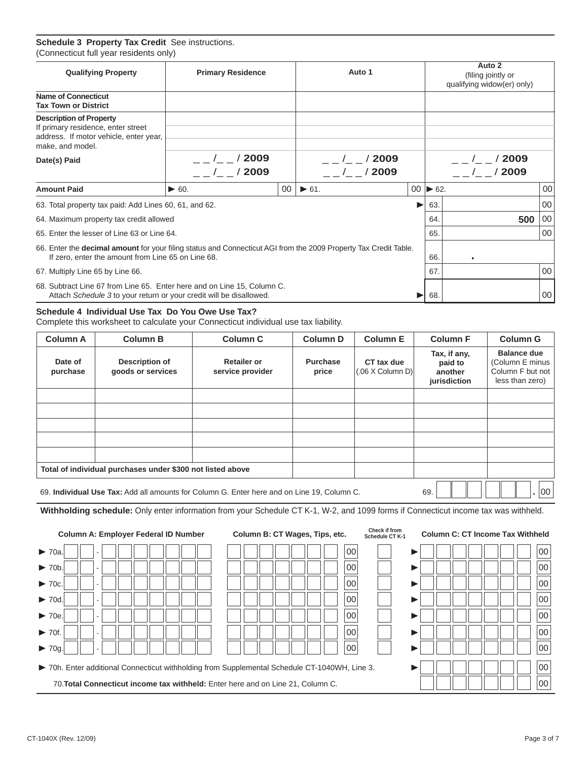#### **Schedule 3 Property Tax Credit** See instructions. (Connecticut full year residents only)

| <b>Qualifying Property</b>                                                                                                         | <b>Primary Residence</b>                                                                                                                                                                                                                                                                                                             |    | Auto 1                          |   |                              | Auto 2<br>(filing jointly or<br>qualifying widow(er) only)<br>/2009<br>$/$ $/$ 2009<br>500 |    |  |
|------------------------------------------------------------------------------------------------------------------------------------|--------------------------------------------------------------------------------------------------------------------------------------------------------------------------------------------------------------------------------------------------------------------------------------------------------------------------------------|----|---------------------------------|---|------------------------------|--------------------------------------------------------------------------------------------|----|--|
| <b>Name of Connecticut</b><br><b>Tax Town or District</b>                                                                          |                                                                                                                                                                                                                                                                                                                                      |    |                                 |   |                              |                                                                                            |    |  |
| <b>Description of Property</b><br>If primary residence, enter street<br>address. If motor vehicle, enter year,<br>make, and model. |                                                                                                                                                                                                                                                                                                                                      |    |                                 |   |                              |                                                                                            |    |  |
| Date(s) Paid                                                                                                                       | $/$ $/$ 2009<br>$/$ $/$ 2009                                                                                                                                                                                                                                                                                                         |    | $\prime$ / 2009<br>$/$ $/$ 2009 |   |                              |                                                                                            |    |  |
| <b>Amount Paid</b>                                                                                                                 | $\blacktriangleright$ 60.                                                                                                                                                                                                                                                                                                            | 00 | $\triangleright$ 61.            |   | $00 \blacktriangleright 62.$ |                                                                                            | 00 |  |
| 63. Total property tax paid: Add Lines 60, 61, and 62.                                                                             |                                                                                                                                                                                                                                                                                                                                      |    |                                 | ▶ | 63.                          |                                                                                            | 00 |  |
| 64. Maximum property tax credit allowed                                                                                            |                                                                                                                                                                                                                                                                                                                                      |    |                                 |   | 64.                          |                                                                                            | 00 |  |
| 65. Enter the lesser of Line 63 or Line 64.                                                                                        |                                                                                                                                                                                                                                                                                                                                      |    |                                 |   | 65.                          |                                                                                            | 00 |  |
|                                                                                                                                    |                                                                                                                                                                                                                                                                                                                                      |    |                                 |   | 66.                          |                                                                                            |    |  |
| 67. Multiply Line 65 by Line 66.                                                                                                   |                                                                                                                                                                                                                                                                                                                                      |    |                                 |   | 67.                          |                                                                                            | 00 |  |
|                                                                                                                                    | 66. Enter the decimal amount for your filing status and Connecticut AGI from the 2009 Property Tax Credit Table.<br>If zero, enter the amount from Line 65 on Line 68.<br>68. Subtract Line 67 from Line 65. Enter here and on Line 15, Column C.<br>Attach Schedule 3 to your return or your credit will be disallowed.<br>68.<br>▶ |    |                                 |   |                              |                                                                                            |    |  |

#### **Schedule 4 Individual Use Tax Do You Owe Use Tax?**

Complete this worksheet to calculate your Connecticut individual use tax liability.

| <b>Column A</b>     | <b>Column B</b>                                                                            | <b>Column C</b>                        | <b>Column D</b>          | <b>Column E</b>                       | <b>Column F</b>                                    | <b>Column G</b>                                                              |
|---------------------|--------------------------------------------------------------------------------------------|----------------------------------------|--------------------------|---------------------------------------|----------------------------------------------------|------------------------------------------------------------------------------|
| Date of<br>purchase | Description of<br>goods or services                                                        | <b>Retailer or</b><br>service provider | <b>Purchase</b><br>price | CT tax due<br>$(.06 \times$ Column D) | Tax, if any,<br>paid to<br>another<br>jurisdiction | <b>Balance due</b><br>(Column E minus<br>Column F but not<br>less than zero) |
|                     |                                                                                            |                                        |                          |                                       |                                                    |                                                                              |
|                     |                                                                                            |                                        |                          |                                       |                                                    |                                                                              |
|                     |                                                                                            |                                        |                          |                                       |                                                    |                                                                              |
|                     |                                                                                            |                                        |                          |                                       |                                                    |                                                                              |
|                     |                                                                                            |                                        |                          |                                       |                                                    |                                                                              |
|                     | Total of individual purchases under \$300 not listed above                                 |                                        |                          |                                       |                                                    |                                                                              |
|                     | 69. Individual Use Tax: Add all amounts for Column G. Enter here and on Line 19, Column C. | 69.                                    | $00\,$                   |                                       |                                                    |                                                                              |

**Withholding schedule:** Only enter information from your Schedule CT K-1, W-2, and 1099 forms if Connecticut income tax was withheld.

| <b>Column A: Employer Federal ID Number</b>                                                   | Column B: CT Wages, Tips, etc. | Check if from<br><b>Column C: CT Income Tax Withheld</b><br>Schedule CT K-1 |  |  |  |  |  |  |
|-----------------------------------------------------------------------------------------------|--------------------------------|-----------------------------------------------------------------------------|--|--|--|--|--|--|
| $\blacktriangleright$ 70a.                                                                    | 00                             | 00                                                                          |  |  |  |  |  |  |
| $\blacktriangleright$ 70b                                                                     | 00                             | 00                                                                          |  |  |  |  |  |  |
| $\blacktriangleright$ 70c.                                                                    | 00                             | 00                                                                          |  |  |  |  |  |  |
| $\blacktriangleright$ 70d                                                                     | 00                             | 00                                                                          |  |  |  |  |  |  |
| $\blacktriangleright$ 70e.                                                                    | 00                             | 00                                                                          |  |  |  |  |  |  |
| $\blacktriangleright$ 70f<br>$\overline{\phantom{a}}$                                         | 00                             | 00                                                                          |  |  |  |  |  |  |
| $\blacktriangleright$ 70g.                                                                    | 00                             | 00                                                                          |  |  |  |  |  |  |
| > 70h. Enter additional Connecticut withholding from Supplemental Schedule CT-1040WH, Line 3. | 00<br>00                       |                                                                             |  |  |  |  |  |  |
| 70. Total Connecticut income tax withheld: Enter here and on Line 21, Column C.               |                                |                                                                             |  |  |  |  |  |  |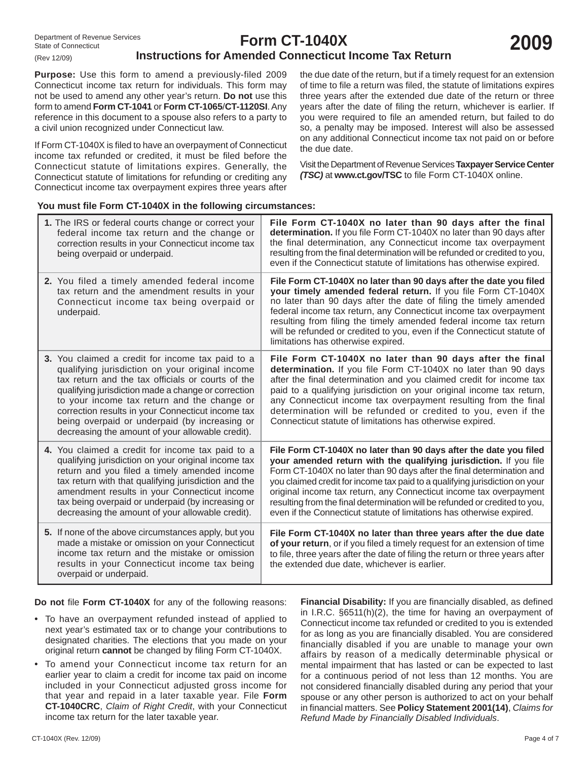## **Instructions for Amended Connecticut Income Tax Return**

**Purpose:** Use this form to amend a previously-filed 2009 Connecticut income tax return for individuals. This form may not be used to amend any other year's return. **Do not** use this form to amend **Form CT-1041** or **Form CT-1065**/**CT-1120SI**. Any reference in this document to a spouse also refers to a party to a civil union recognized under Connecticut law.

If Form CT-1040X is filed to have an overpayment of Connecticut income tax refunded or credited, it must be filed before the Connecticut statute of limitations expires. Generally, the Connecticut statute of limitations for refunding or crediting any Connecticut income tax overpayment expires three years after the due date of the return, but if a timely request for an extension of time to file a return was filed, the statute of limitations expires three years after the extended due date of the return or three years after the date of filing the return, whichever is earlier. If you were required to file an amended return, but failed to do so, a penalty may be imposed. Interest will also be assessed on any additional Connecticut income tax not paid on or before the due date.

Visit the Department of Revenue Services **Taxpayer Service Center** *(TSC)* at www.ct.gov/TSC to file Form CT-1040X online.

#### You must file Form CT-1040X in the following circumstances:

| 1. The IRS or federal courts change or correct your<br>federal income tax return and the change or<br>correction results in your Connecticut income tax<br>being overpaid or underpaid.                                                                                                                                                                                                                                  | File Form CT-1040X no later than 90 days after the final<br>determination. If you file Form CT-1040X no later than 90 days after<br>the final determination, any Connecticut income tax overpayment<br>resulting from the final determination will be refunded or credited to you,<br>even if the Connecticut statute of limitations has otherwise expired.                                                                                                                                                                  |
|--------------------------------------------------------------------------------------------------------------------------------------------------------------------------------------------------------------------------------------------------------------------------------------------------------------------------------------------------------------------------------------------------------------------------|------------------------------------------------------------------------------------------------------------------------------------------------------------------------------------------------------------------------------------------------------------------------------------------------------------------------------------------------------------------------------------------------------------------------------------------------------------------------------------------------------------------------------|
| 2. You filed a timely amended federal income<br>tax return and the amendment results in your<br>Connecticut income tax being overpaid or<br>underpaid.                                                                                                                                                                                                                                                                   | File Form CT-1040X no later than 90 days after the date you filed<br>your timely amended federal return. If you file Form CT-1040X<br>no later than 90 days after the date of filing the timely amended<br>federal income tax return, any Connecticut income tax overpayment<br>resulting from filing the timely amended federal income tax return<br>will be refunded or credited to you, even if the Connecticut statute of<br>limitations has otherwise expired.                                                          |
| 3. You claimed a credit for income tax paid to a<br>qualifying jurisdiction on your original income<br>tax return and the tax officials or courts of the<br>qualifying jurisdiction made a change or correction<br>to your income tax return and the change or<br>correction results in your Connecticut income tax<br>being overpaid or underpaid (by increasing or<br>decreasing the amount of your allowable credit). | File Form CT-1040X no later than 90 days after the final<br>determination. If you file Form CT-1040X no later than 90 days<br>after the final determination and you claimed credit for income tax<br>paid to a qualifying jurisdiction on your original income tax return,<br>any Connecticut income tax overpayment resulting from the final<br>determination will be refunded or credited to you, even if the<br>Connecticut statute of limitations has otherwise expired.                                                 |
| 4. You claimed a credit for income tax paid to a<br>qualifying jurisdiction on your original income tax<br>return and you filed a timely amended income<br>tax return with that qualifying jurisdiction and the<br>amendment results in your Connecticut income<br>tax being overpaid or underpaid (by increasing or<br>decreasing the amount of your allowable credit).                                                 | File Form CT-1040X no later than 90 days after the date you filed<br>your amended return with the qualifying jurisdiction. If you file<br>Form CT-1040X no later than 90 days after the final determination and<br>you claimed credit for income tax paid to a qualifying jurisdiction on your<br>original income tax return, any Connecticut income tax overpayment<br>resulting from the final determination will be refunded or credited to you,<br>even if the Connecticut statute of limitations has otherwise expired. |
| 5. If none of the above circumstances apply, but you<br>made a mistake or omission on your Connecticut<br>income tax return and the mistake or omission<br>results in your Connecticut income tax being<br>overpaid or underpaid.                                                                                                                                                                                        | File Form CT-1040X no later than three years after the due date<br>of your return, or if you filed a timely request for an extension of time<br>to file, three years after the date of filing the return or three years after<br>the extended due date, whichever is earlier.                                                                                                                                                                                                                                                |

**Do not file Form CT-1040X** for any of the following reasons:

- To have an overpayment refunded instead of applied to next year's estimated tax or to change your contributions to designated charities. The elections that you made on your original return **cannot** be changed by filing Form CT-1040X.
- To amend your Connecticut income tax return for an earlier year to claim a credit for income tax paid on income included in your Connecticut adjusted gross income for that year and repaid in a later taxable year. File **Form CT-1040CRC**, *Claim of Right Credit*, with your Connecticut income tax return for the later taxable year.

Financial Disability: If you are financially disabled, as defined in I.R.C. §6511(h)(2), the time for having an overpayment of Connecticut income tax refunded or credited to you is extended for as long as you are financially disabled. You are considered financially disabled if you are unable to manage your own affairs by reason of a medically determinable physical or mental impairment that has lasted or can be expected to last for a continuous period of not less than 12 months. You are not considered financially disabled during any period that your spouse or any other person is authorized to act on your behalf in financial matters. See Policy Statement 2001(14), Claims for *Refund Made by Financially Disabled Individuals*.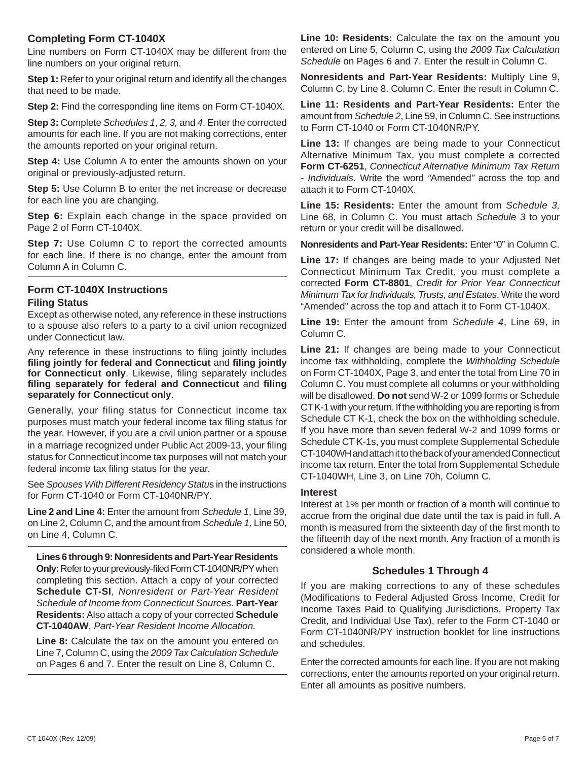#### **Completing Form CT-1040X**

Line numbers on Form CT-1040X may be different from the line numbers on your original return.

**Step 1:** Refer to your original return and identify all the changes that need to be made.

**Step 2:** Find the corresponding line items on Form CT-1040X.

**Step 3:** Complete *Schedules 1*, *2, 3,* and *4*. Enter the corrected amounts for each line. If you are not making corrections, enter the amounts reported on your original return.

**Step 4:** Use Column A to enter the amounts shown on your original or previously-adjusted return.

**Step 5:** Use Column B to enter the net increase or decrease for each line you are changing.

**Step 6:** Explain each change in the space provided on Page 2 of Form CT-1040X.

**Step 7:** Use Column C to report the corrected amounts for each line. If there is no change, enter the amount from Column A in Column C.

#### **Form CT-1040X Instructions Filing Status**

Except as otherwise noted, any reference in these instructions to a spouse also refers to a party to a civil union recognized under Connecticut law.

Any reference in these instructions to filing jointly includes **fi ling jointly for federal and Connecticut** and **fi ling jointly**  for Connecticut only. Likewise, filing separately includes **fi ling separately for federal and Connecticut** and **fi ling separately for Connecticut only**.

Generally, your filing status for Connecticut income tax purposes must match your federal income tax filing status for the year. However, if you are a civil union partner or a spouse in a marriage recognized under Public Act 2009-13, your filing status for Connecticut income tax purposes will not match your federal income tax filing status for the year.

See *Spouses With Different Residency Statu*s in the instructions for Form CT-1040 or Form CT-1040NR/PY.

**Line 2 and Line 4:** Enter the amount from *Schedule 1*, Line 39, on Line 2, Column C, and the amount from *Schedule 1,* Line 50, on Line 4, Column C.

**Lines 6 through 9: Nonresidents and Part-Year Residents Only:** Refer to your previously-filed Form CT-1040NR/PY when completing this section. Attach a copy of your corrected **Schedule CT-SI**, *Nonresident or Part-Year Resident Schedule of Income from Connecticut Sources.* **Part-Year Residents:** Also attach a copy of your corrected **Schedule CT-1040AW**, *Part-Year Resident Income Allocation.*

**Line 8:** Calculate the tax on the amount you entered on Line 7, Column C, using the *2009 Tax Calculation Schedule*  on Pages 6 and 7. Enter the result on Line 8, Column C.

**Line 10: Residents:** Calculate the tax on the amount you entered on Line 5, Column C, using the *2009 Tax Calculation Schedule* on Pages 6 and 7. Enter the result in Column C.

**Nonresidents and Part-Year Residents:** Multiply Line 9, Column C, by Line 8, Column C. Enter the result in Column C.

**Line 11: Residents and Part-Year Residents:** Enter the amount from *Schedule 2*, Line 59, in Column C. See instructions to Form CT-1040 or Form CT-1040NR/PY.

**Line 13:** If changes are being made to your Connecticut Alternative Minimum Tax, you must complete a corrected **Form CT-6251**, *Connecticut Alternative Minimum Tax Return - Individuals*. Write the word *"*Amended*"* across the top and attach it to Form CT-1040X.

**Line 15: Residents:** Enter the amount from *Schedule 3,* Line 68, in Column C. You must attach *Schedule 3* to your return or your credit will be disallowed.

**Nonresidents and Part-Year Residents:** Enter "0" in Column C.

**Line 17:** If changes are being made to your Adjusted Net Connecticut Minimum Tax Credit, you must complete a corrected **Form CT-8801**, *Credit for Prior Year Connecticut Minimum Tax for Individuals, Trusts, and Estates*. Write the word "Amended" across the top and attach it to Form CT-1040X.

**Line 19:** Enter the amount from *Schedule 4*, Line 69, in Column C.

**Line 21:** If changes are being made to your Connecticut income tax withholding, complete the *Withholding Schedule*  on Form CT-1040X, Page 3, and enter the total from Line 70 in Column C. You must complete all columns or your withholding will be disallowed. **Do not** send W-2 or 1099 forms or Schedule CT K-1 with your return. If the withholding you are reporting is from Schedule CT K-1, check the box on the withholding schedule. If you have more than seven federal W-2 and 1099 forms or Schedule CT K-1s, you must complete Supplemental Schedule CT-1040WH and attach it to the back of your amended Connecticut income tax return. Enter the total from Supplemental Schedule CT-1040WH, Line 3, on Line 70h, Column C.

#### **Interest**

Interest at 1% per month or fraction of a month will continue to accrue from the original due date until the tax is paid in full. A month is measured from the sixteenth day of the first month to the fifteenth day of the next month. Any fraction of a month is considered a whole month.

#### **Schedules 1 Through 4**

If you are making corrections to any of these schedules (Modifications to Federal Adjusted Gross Income, Credit for Income Taxes Paid to Qualifying Jurisdictions, Property Tax Credit, and Individual Use Tax), refer to the Form CT-1040 or Form CT-1040NR/PY instruction booklet for line instructions and schedules.

Enter the corrected amounts for each line. If you are not making corrections, enter the amounts reported on your original return. Enter all amounts as positive numbers.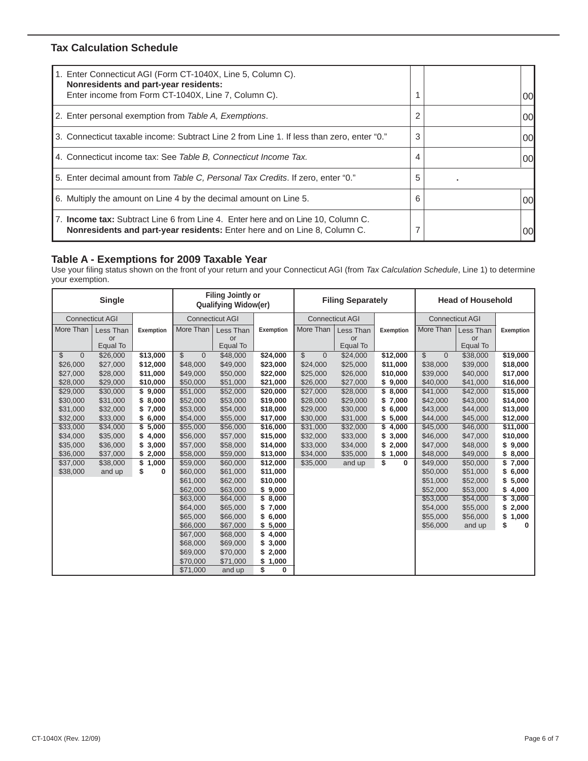### **Tax Calculation Schedule**

| 1. Enter Connecticut AGI (Form CT-1040X, Line 5, Column C).<br>Nonresidents and part-year residents:<br>Enter income from Form CT-1040X, Line 7, Column C).   |   | 00 |
|---------------------------------------------------------------------------------------------------------------------------------------------------------------|---|----|
| 2. Enter personal exemption from Table A, Exemptions.                                                                                                         | 2 | 00 |
| 3. Connecticut taxable income: Subtract Line 2 from Line 1. If less than zero, enter "0."                                                                     | 3 | 00 |
| 4. Connecticut income tax: See Table B, Connecticut Income Tax.                                                                                               | 4 | 00 |
| 5. Enter decimal amount from Table C, Personal Tax Credits. If zero, enter "0."                                                                               | 5 |    |
| 6. Multiply the amount on Line 4 by the decimal amount on Line 5.                                                                                             | 6 | 00 |
| 7. Income tax: Subtract Line 6 from Line 4. Enter here and on Line 10, Column C.<br>Nonresidents and part-year residents: Enter here and on Line 8, Column C. |   | 00 |

### **Table A - Exemptions for 2009 Taxable Year**

Use your filing status shown on the front of your return and your Connecticut AGI (from *Tax Calculation Schedule*, Line 1) to determine your exemption.

| <b>Single</b>        |                        |             |                | <b>Filing Jointly or</b><br><b>Qualifying Widow(er)</b> |             |                               | <b>Filing Separately</b> |             | <b>Head of Household</b> |                        |                  |  |
|----------------------|------------------------|-------------|----------------|---------------------------------------------------------|-------------|-------------------------------|--------------------------|-------------|--------------------------|------------------------|------------------|--|
|                      | <b>Connecticut AGI</b> |             |                | <b>Connecticut AGI</b>                                  |             |                               | <b>Connecticut AGI</b>   |             |                          | <b>Connecticut AGI</b> |                  |  |
| More Than            | Less Than              | Exemption   | More Than      | Less Than                                               | Exemption   | More Than                     | Less Than                | Exemption   | More Than                | Less Than              | <b>Exemption</b> |  |
|                      | or                     |             |                | or                                                      |             |                               | or                       |             |                          | or                     |                  |  |
|                      | Equal To               |             |                | Equal To                                                |             |                               | Equal To                 |             |                          | Equal To               |                  |  |
| \$<br>$\overline{0}$ | \$26,000               | \$13,000    | \$<br>$\theta$ | \$48,000                                                | \$24,000    | $\mathbb S$<br>$\overline{0}$ | \$24,000                 | \$12,000    | \$<br>$\overline{0}$     | \$38,000               | \$19,000         |  |
| \$26,000             | \$27,000               | \$12,000    | \$48,000       | \$49,000                                                | \$23,000    | \$24,000                      | \$25,000                 | \$11,000    | \$38,000                 | \$39,000               | \$18,000         |  |
| \$27,000             | \$28,000               | \$11,000    | \$49,000       | \$50,000                                                | \$22,000    | \$25,000                      | \$26,000                 | \$10,000    | \$39,000                 | \$40,000               | \$17,000         |  |
| \$28,000             | \$29,000               | \$10,000    | \$50,000       | \$51,000                                                | \$21,000    | \$26,000                      | \$27,000                 | \$9,000     | \$40,000                 | \$41,000               | \$16,000         |  |
| \$29,000             | \$30,000               | \$9,000     | \$51,000       | \$52,000                                                | \$20,000    | \$27,000                      | \$28,000                 | \$<br>8,000 | \$41,000                 | \$42,000               | \$15,000         |  |
| \$30,000             | \$31,000               | \$8,000     | \$52,000       | \$53,000                                                | \$19,000    | \$28,000                      | \$29,000                 | 7,000<br>\$ | \$42,000                 | \$43,000               | \$14,000         |  |
| \$31,000             | \$32,000               | 7,000<br>\$ | \$53,000       | \$54,000                                                | \$18,000    | \$29,000                      | \$30,000                 | 6,000<br>\$ | \$43,000                 | \$44,000               | \$13,000         |  |
| \$32,000             | \$33,000               | 6,000<br>\$ | \$54,000       | \$55,000                                                | \$17,000    | \$30,000                      | \$31,000                 | 5,000<br>\$ | \$44,000                 | \$45,000               | \$12,000         |  |
| \$33,000             | \$34,000               | \$<br>5,000 | \$55,000       | \$56,000                                                | \$16,000    | \$31,000                      | \$32,000                 | \$<br>4,000 | \$45,000                 | \$46,000               | \$11,000         |  |
| \$34,000             | \$35,000               | \$<br>4,000 | \$56,000       | \$57,000                                                | \$15,000    | \$32,000                      | \$33,000                 | 3,000<br>\$ | \$46,000                 | \$47,000               | \$10,000         |  |
| \$35,000             | \$36,000               | \$<br>3,000 | \$57,000       | \$58,000                                                | \$14,000    | \$33,000                      | \$34,000                 | 2,000       | \$47,000                 | \$48,000               | \$9,000          |  |
| \$36,000             | \$37,000               | 2,000<br>\$ | \$58,000       | \$59,000                                                | \$13,000    | \$34,000                      | \$35,000                 | 1,000<br>\$ | \$48,000                 | \$49,000               | \$8,000          |  |
| \$37,000             | \$38,000               | \$<br>1,000 | \$59,000       | \$60,000                                                | \$12,000    | \$35,000                      | and up                   | \$<br>0     | \$49,000                 | \$50,000               | \$7,000          |  |
| \$38,000             | and up                 | \$<br>0     | \$60,000       | \$61,000                                                | \$11,000    |                               |                          |             | \$50,000                 | \$51,000               | \$6,000          |  |
|                      |                        |             | \$61,000       | \$62,000                                                | \$10,000    |                               |                          |             | \$51,000                 | \$52,000               | \$5,000          |  |
|                      |                        |             | \$62,000       | \$63,000                                                | \$9,000     |                               |                          |             | \$52,000                 | \$53,000               | \$4,000          |  |
|                      |                        |             | \$63,000       | \$64,000                                                | \$8,000     |                               |                          |             | \$53,000                 | \$54,000               | \$3,000          |  |
|                      |                        |             | \$64,000       | \$65,000                                                | \$7,000     |                               |                          |             | \$54,000                 | \$55,000               | \$2,000          |  |
|                      |                        |             | \$65,000       | \$66,000                                                | \$6,000     |                               |                          |             | \$55,000                 | \$56,000               | \$<br>1,000      |  |
|                      |                        |             | \$66,000       | \$67,000                                                | \$5,000     |                               |                          |             | \$56,000                 | and up                 | \$<br>0          |  |
|                      |                        |             | \$67,000       | \$68,000                                                | \$4,000     |                               |                          |             |                          |                        |                  |  |
|                      |                        |             | \$68,000       | \$69,000                                                | \$3,000     |                               |                          |             |                          |                        |                  |  |
|                      |                        |             | \$69,000       | \$70,000                                                | \$2,000     |                               |                          |             |                          |                        |                  |  |
|                      |                        |             | \$70,000       | \$71,000                                                | \$<br>1,000 |                               |                          |             |                          |                        |                  |  |
|                      |                        |             | \$71,000       | and up                                                  | \$<br>0     |                               |                          |             |                          |                        |                  |  |